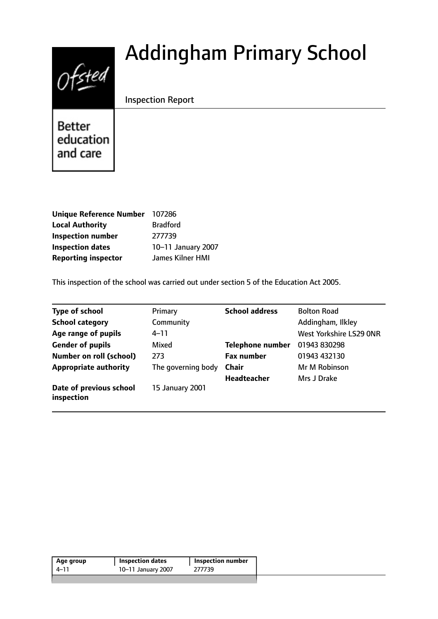# $Ofsted$

# Addingham Primary School

Inspection Report

**Better** education and care

| <b>Unique Reference Number</b> | 107286             |
|--------------------------------|--------------------|
| <b>Local Authority</b>         | <b>Bradford</b>    |
| <b>Inspection number</b>       | 277739             |
| <b>Inspection dates</b>        | 10-11 January 2007 |
| <b>Reporting inspector</b>     | James Kilner HMI   |

This inspection of the school was carried out under section 5 of the Education Act 2005.

| <b>Type of school</b>                 | Primary            | <b>School address</b>   | <b>Bolton Road</b>      |
|---------------------------------------|--------------------|-------------------------|-------------------------|
| <b>School category</b>                | Community          |                         | Addingham, Ilkley       |
| Age range of pupils                   | 4–11               |                         | West Yorkshire LS29 ONR |
| <b>Gender of pupils</b>               | Mixed              | <b>Telephone number</b> | 01943 830298            |
| <b>Number on roll (school)</b>        | 273                | <b>Fax number</b>       | 01943 432130            |
| <b>Appropriate authority</b>          | The governing body | <b>Chair</b>            | Mr M Robinson           |
|                                       |                    | Headteacher             | Mrs J Drake             |
| Date of previous school<br>inspection | 15 January 2001    |                         |                         |

| Age group | <b>Inspection dates</b> | Inspection number |
|-----------|-------------------------|-------------------|
| 4–11      | 10-11 January 2007      | 277739            |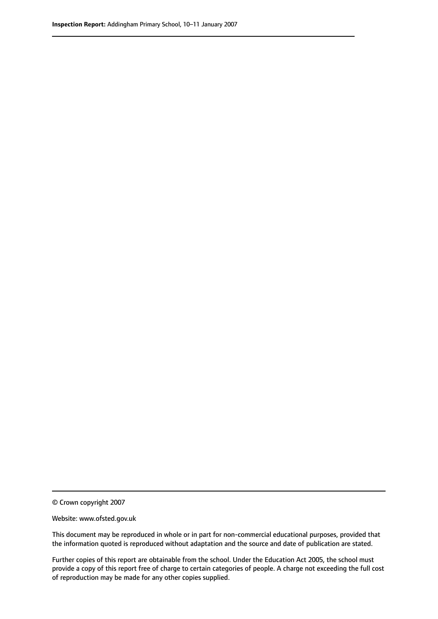© Crown copyright 2007

Website: www.ofsted.gov.uk

This document may be reproduced in whole or in part for non-commercial educational purposes, provided that the information quoted is reproduced without adaptation and the source and date of publication are stated.

Further copies of this report are obtainable from the school. Under the Education Act 2005, the school must provide a copy of this report free of charge to certain categories of people. A charge not exceeding the full cost of reproduction may be made for any other copies supplied.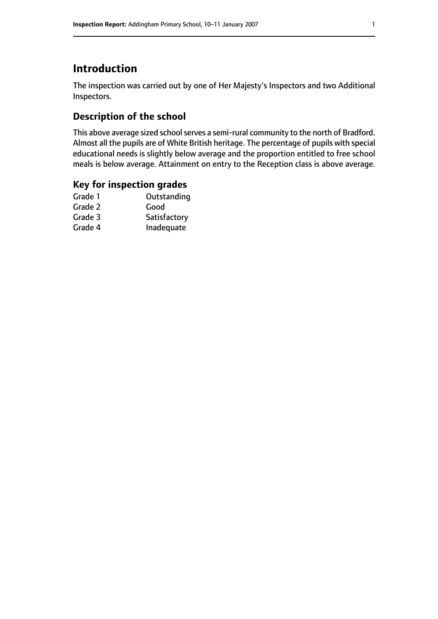# **Introduction**

The inspection was carried out by one of Her Majesty's Inspectors and two Additional Inspectors.

## **Description of the school**

This above average sized school serves a semi-rural community to the north of Bradford. Almost all the pupils are of White British heritage. The percentage of pupils with special educational needs is slightly below average and the proportion entitled to free school meals is below average. Attainment on entry to the Reception class is above average.

#### **Key for inspection grades**

| Good         |
|--------------|
|              |
| Satisfactory |
| Inadequate   |
|              |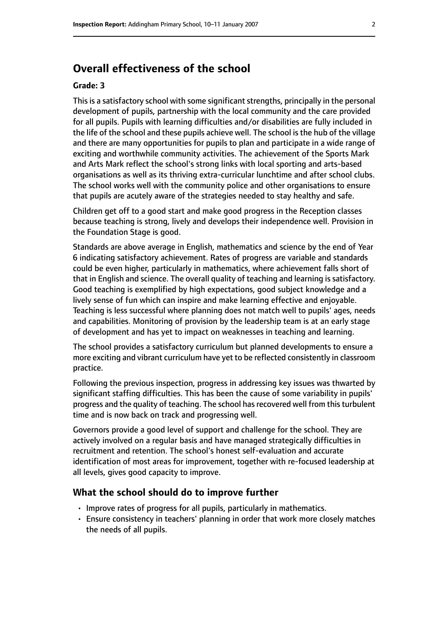# **Overall effectiveness of the school**

#### **Grade: 3**

This is a satisfactory school with some significant strengths, principally in the personal development of pupils, partnership with the local community and the care provided for all pupils. Pupils with learning difficulties and/or disabilities are fully included in the life of the school and these pupils achieve well. The school is the hub of the village and there are many opportunities for pupils to plan and participate in a wide range of exciting and worthwhile community activities. The achievement of the Sports Mark and Arts Mark reflect the school's strong links with local sporting and arts-based organisations as well as its thriving extra-curricular lunchtime and after school clubs. The school works well with the community police and other organisations to ensure that pupils are acutely aware of the strategies needed to stay healthy and safe.

Children get off to a good start and make good progress in the Reception classes because teaching is strong, lively and develops their independence well. Provision in the Foundation Stage is good.

Standards are above average in English, mathematics and science by the end of Year 6 indicating satisfactory achievement. Rates of progress are variable and standards could be even higher, particularly in mathematics, where achievement falls short of that in English and science. The overall quality of teaching and learning is satisfactory. Good teaching is exemplified by high expectations, good subject knowledge and a lively sense of fun which can inspire and make learning effective and enjoyable. Teaching is less successful where planning does not match well to pupils' ages, needs and capabilities. Monitoring of provision by the leadership team is at an early stage of development and has yet to impact on weaknesses in teaching and learning.

The school provides a satisfactory curriculum but planned developments to ensure a more exciting and vibrant curriculum have yet to be reflected consistently in classroom practice.

Following the previous inspection, progress in addressing key issues was thwarted by significant staffing difficulties. This has been the cause of some variability in pupils' progress and the quality of teaching. The school has recovered well from this turbulent time and is now back on track and progressing well.

Governors provide a good level of support and challenge for the school. They are actively involved on a regular basis and have managed strategically difficulties in recruitment and retention. The school's honest self-evaluation and accurate identification of most areas for improvement, together with re-focused leadership at all levels, gives good capacity to improve.

#### **What the school should do to improve further**

- Improve rates of progress for all pupils, particularly in mathematics.
- Ensure consistency in teachers' planning in order that work more closely matches the needs of all pupils.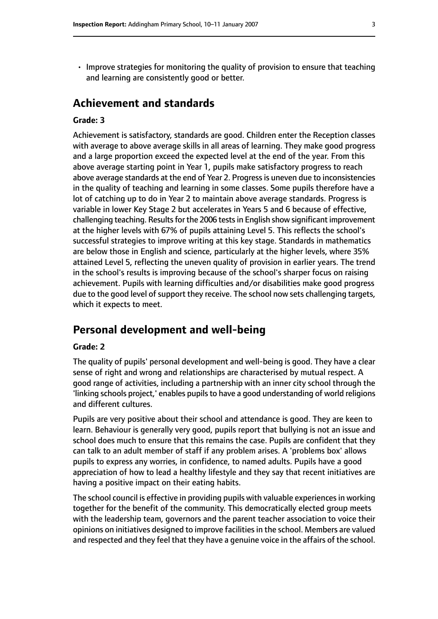- 
- Improve strategies for monitoring the quality of provision to ensure that teaching and learning are consistently good or better.

# **Achievement and standards**

#### **Grade: 3**

Achievement is satisfactory, standards are good. Children enter the Reception classes with average to above average skills in all areas of learning. They make good progress and a large proportion exceed the expected level at the end of the year. From this above average starting point in Year 1, pupils make satisfactory progress to reach above average standards at the end of Year 2. Progress is uneven due to inconsistencies in the quality of teaching and learning in some classes. Some pupils therefore have a lot of catching up to do in Year 2 to maintain above average standards. Progress is variable in lower Key Stage 2 but accelerates in Years 5 and 6 because of effective, challenging teaching. Results for the 2006 tests in English show significant improvement at the higher levels with 67% of pupils attaining Level 5. This reflects the school's successful strategies to improve writing at this key stage. Standards in mathematics are below those in English and science, particularly at the higher levels, where 35% attained Level 5, reflecting the uneven quality of provision in earlier years. The trend in the school's results is improving because of the school's sharper focus on raising achievement. Pupils with learning difficulties and/or disabilities make good progress due to the good level of support they receive. The school now sets challenging targets, which it expects to meet.

# **Personal development and well-being**

#### **Grade: 2**

The quality of pupils' personal development and well-being is good. They have a clear sense of right and wrong and relationships are characterised by mutual respect. A good range of activities, including a partnership with an inner city school through the 'linking schools project,' enables pupilsto have a good understanding of world religions and different cultures.

Pupils are very positive about their school and attendance is good. They are keen to learn. Behaviour is generally very good, pupils report that bullying is not an issue and school does much to ensure that this remains the case. Pupils are confident that they can talk to an adult member of staff if any problem arises. A 'problems box' allows pupils to express any worries, in confidence, to named adults. Pupils have a good appreciation of how to lead a healthy lifestyle and they say that recent initiatives are having a positive impact on their eating habits.

The school council is effective in providing pupils with valuable experiences in working together for the benefit of the community. This democratically elected group meets with the leadership team, governors and the parent teacher association to voice their opinions on initiatives designed to improve facilities in the school. Members are valued and respected and they feel that they have a genuine voice in the affairs of the school.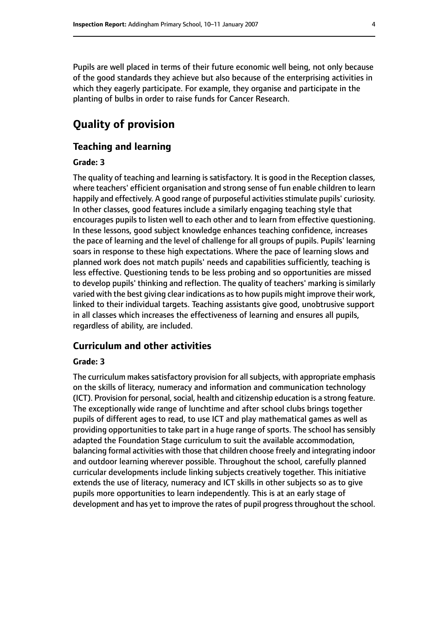Pupils are well placed in terms of their future economic well being, not only because of the good standards they achieve but also because of the enterprising activities in which they eagerly participate. For example, they organise and participate in the planting of bulbs in order to raise funds for Cancer Research.

# **Quality of provision**

#### **Teaching and learning**

#### **Grade: 3**

The quality of teaching and learning is satisfactory. It is good in the Reception classes, where teachers' efficient organisation and strong sense of fun enable children to learn happily and effectively. A good range of purposeful activities stimulate pupils' curiosity. In other classes, good features include a similarly engaging teaching style that encourages pupils to listen well to each other and to learn from effective questioning. In these lessons, good subject knowledge enhances teaching confidence, increases the pace of learning and the level of challenge for all groups of pupils. Pupils' learning soars in response to these high expectations. Where the pace of learning slows and planned work does not match pupils' needs and capabilities sufficiently, teaching is less effective. Questioning tends to be less probing and so opportunities are missed to develop pupils' thinking and reflection. The quality of teachers' marking is similarly varied with the best giving clear indications asto how pupils might improve their work, linked to their individual targets. Teaching assistants give good, unobtrusive support in all classes which increases the effectiveness of learning and ensures all pupils, regardless of ability, are included.

#### **Curriculum and other activities**

#### **Grade: 3**

The curriculum makes satisfactory provision for all subjects, with appropriate emphasis on the skills of literacy, numeracy and information and communication technology (ICT). Provision for personal, social, health and citizenship education is a strong feature. The exceptionally wide range of lunchtime and after school clubs brings together pupils of different ages to read, to use ICT and play mathematical games as well as providing opportunities to take part in a huge range of sports. The school has sensibly adapted the Foundation Stage curriculum to suit the available accommodation, balancing formal activities with those that children choose freely and integrating indoor and outdoor learning wherever possible. Throughout the school, carefully planned curricular developments include linking subjects creatively together. This initiative extends the use of literacy, numeracy and ICT skills in other subjects so as to give pupils more opportunities to learn independently. This is at an early stage of development and has yet to improve the rates of pupil progress throughout the school.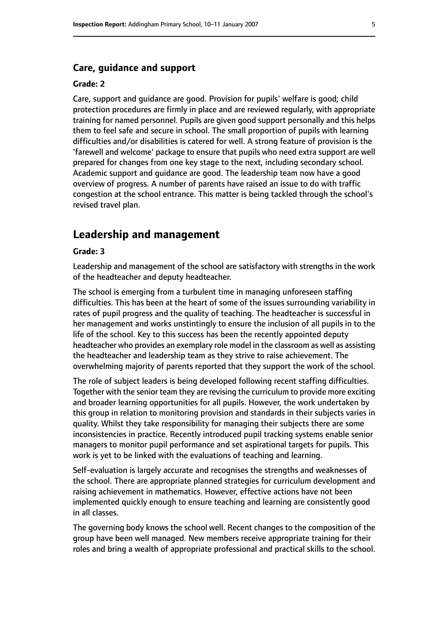#### **Care, guidance and support**

#### **Grade: 2**

Care, support and guidance are good. Provision for pupils' welfare is good; child protection procedures are firmly in place and are reviewed regularly, with appropriate training for named personnel. Pupils are given good support personally and this helps them to feel safe and secure in school. The small proportion of pupils with learning difficulties and/or disabilities is catered for well. A strong feature of provision is the 'farewell and welcome' package to ensure that pupils who need extra support are well prepared for changes from one key stage to the next, including secondary school. Academic support and guidance are good. The leadership team now have a good overview of progress. A number of parents have raised an issue to do with traffic congestion at the school entrance. This matter is being tackled through the school's revised travel plan.

#### **Leadership and management**

#### **Grade: 3**

Leadership and management of the school are satisfactory with strengths in the work of the headteacher and deputy headteacher.

The school is emerging from a turbulent time in managing unforeseen staffing difficulties. This has been at the heart of some of the issues surrounding variability in rates of pupil progress and the quality of teaching. The headteacher is successful in her management and works unstintingly to ensure the inclusion of all pupils in to the life of the school. Key to this success has been the recently appointed deputy headteacher who provides an exemplary role model in the classroom as well as assisting the headteacher and leadership team as they strive to raise achievement. The overwhelming majority of parents reported that they support the work of the school.

The role of subject leaders is being developed following recent staffing difficulties. Together with the senior team they are revising the curriculum to provide more exciting and broader learning opportunities for all pupils. However, the work undertaken by this group in relation to monitoring provision and standards in their subjects varies in quality. Whilst they take responsibility for managing their subjects there are some inconsistencies in practice. Recently introduced pupil tracking systems enable senior managers to monitor pupil performance and set aspirational targets for pupils. This work is yet to be linked with the evaluations of teaching and learning.

Self-evaluation is largely accurate and recognises the strengths and weaknesses of the school. There are appropriate planned strategies for curriculum development and raising achievement in mathematics. However, effective actions have not been implemented quickly enough to ensure teaching and learning are consistently good in all classes.

The governing body knows the school well. Recent changes to the composition of the group have been well managed. New members receive appropriate training for their roles and bring a wealth of appropriate professional and practical skills to the school.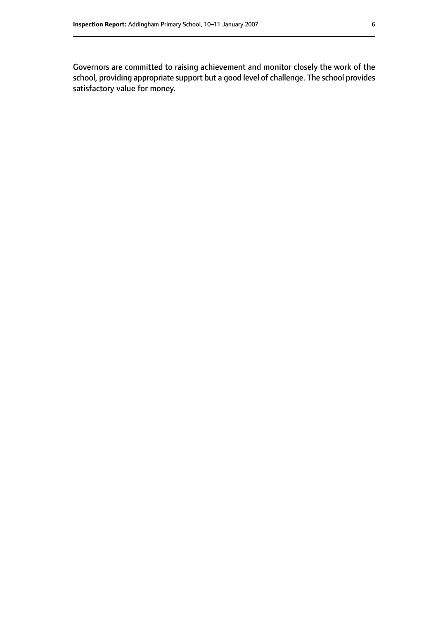Governors are committed to raising achievement and monitor closely the work of the school, providing appropriate support but a good level of challenge. The school provides satisfactory value for money.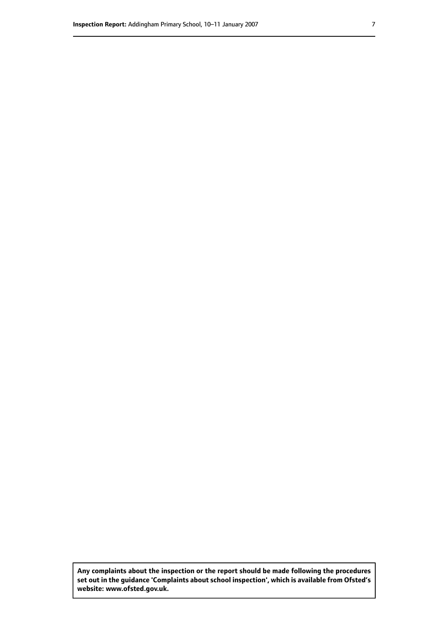**Any complaints about the inspection or the report should be made following the procedures set out inthe guidance 'Complaints about school inspection', whichis available from Ofsted's website: www.ofsted.gov.uk.**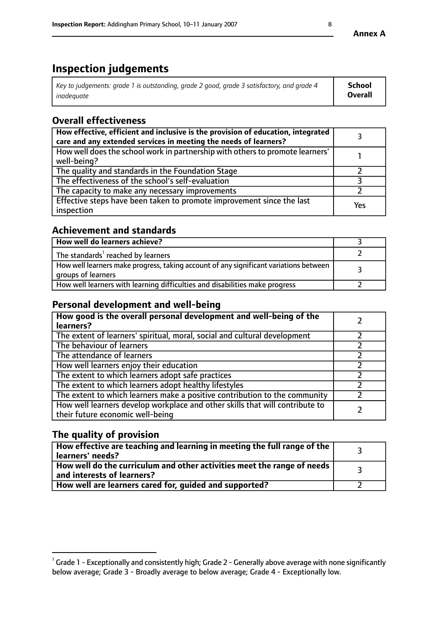# **Inspection judgements**

| Key to judgements: grade 1 is outstanding, grade 2 good, grade 3 satisfactory, and grade 4 | School         |
|--------------------------------------------------------------------------------------------|----------------|
| inadeauate                                                                                 | <b>Overall</b> |

# **Overall effectiveness**

| How effective, efficient and inclusive is the provision of education, integrated<br>care and any extended services in meeting the needs of learners? |     |
|------------------------------------------------------------------------------------------------------------------------------------------------------|-----|
| How well does the school work in partnership with others to promote learners'<br>well-being?                                                         |     |
| The quality and standards in the Foundation Stage                                                                                                    |     |
| The effectiveness of the school's self-evaluation                                                                                                    |     |
| The capacity to make any necessary improvements                                                                                                      |     |
| Effective steps have been taken to promote improvement since the last<br>inspection                                                                  | Yes |

## **Achievement and standards**

| How well do learners achieve?                                                                               |  |
|-------------------------------------------------------------------------------------------------------------|--|
| The standards <sup>1</sup> reached by learners                                                              |  |
| How well learners make progress, taking account of any significant variations between<br>groups of learners |  |
| How well learners with learning difficulties and disabilities make progress                                 |  |

# **Personal development and well-being**

| How good is the overall personal development and well-being of the<br>learners?                                  |  |
|------------------------------------------------------------------------------------------------------------------|--|
| The extent of learners' spiritual, moral, social and cultural development                                        |  |
| The behaviour of learners                                                                                        |  |
| The attendance of learners                                                                                       |  |
| How well learners enjoy their education                                                                          |  |
| The extent to which learners adopt safe practices                                                                |  |
| The extent to which learners adopt healthy lifestyles                                                            |  |
| The extent to which learners make a positive contribution to the community                                       |  |
| How well learners develop workplace and other skills that will contribute to<br>their future economic well-being |  |

# **The quality of provision**

| $\Box$ How effective are teaching and learning in meeting the full range of the $\Box$<br>  learners' needs?        |  |
|---------------------------------------------------------------------------------------------------------------------|--|
| $\mid$ How well do the curriculum and other activities meet the range of needs<br>$\mid$ and interests of learners? |  |
| How well are learners cared for, guided and supported?                                                              |  |

 $^1$  Grade 1 - Exceptionally and consistently high; Grade 2 - Generally above average with none significantly below average; Grade 3 - Broadly average to below average; Grade 4 - Exceptionally low.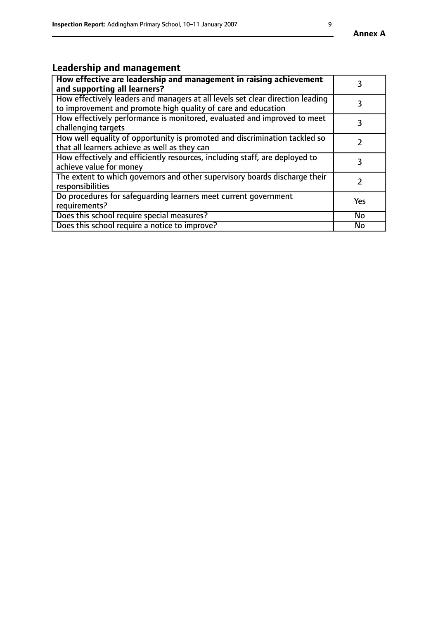# **Leadership and management**

| How effective are leadership and management in raising achievement<br>and supporting all learners?                                              |           |
|-------------------------------------------------------------------------------------------------------------------------------------------------|-----------|
| How effectively leaders and managers at all levels set clear direction leading<br>to improvement and promote high quality of care and education |           |
| How effectively performance is monitored, evaluated and improved to meet<br>challenging targets                                                 | 3         |
| How well equality of opportunity is promoted and discrimination tackled so<br>that all learners achieve as well as they can                     |           |
| How effectively and efficiently resources, including staff, are deployed to<br>achieve value for money                                          | 3         |
| The extent to which governors and other supervisory boards discharge their<br>responsibilities                                                  |           |
| Do procedures for safequarding learners meet current government<br>requirements?                                                                | Yes       |
| Does this school require special measures?                                                                                                      | <b>No</b> |
| Does this school require a notice to improve?                                                                                                   | No        |